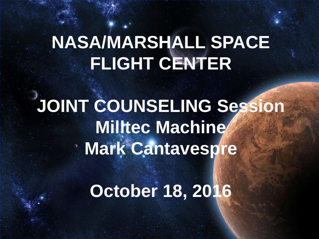# **NASA/MARSHALL SPACE FLIGHT CENTER**

# **JOINT COUNSELING Session Milltec Machine Mark Cantavespre**

### **October 18, 2016**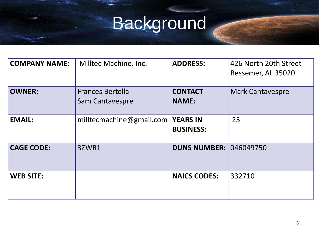# Background

| <b>COMPANY NAME:</b> | Milltec Machine, Inc.                      | <b>ADDRESS:</b>                     | 426 North 20th Street<br>Bessemer, AL 35020 |
|----------------------|--------------------------------------------|-------------------------------------|---------------------------------------------|
| <b>OWNER:</b>        | <b>Frances Bertella</b><br>Sam Cantavespre | <b>CONTACT</b><br><b>NAME:</b>      | <b>Mark Cantavespre</b>                     |
| <b>EMAIL:</b>        | milltecmachine@gmail.com                   | <b>YEARS IN</b><br><b>BUSINESS:</b> | 25                                          |
| <b>CAGE CODE:</b>    | 3ZWR1                                      | <b>DUNS NUMBER: 046049750</b>       |                                             |
| <b>WEB SITE:</b>     |                                            | <b>NAICS CODES:</b>                 | 332710                                      |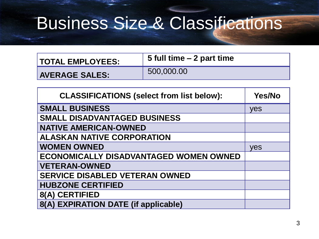# Business Size & Classifications

| <b>TOTAL EMPLOYEES:</b> | 5 full time – 2 part time |  |
|-------------------------|---------------------------|--|
| <b>AVERAGE SALES:</b>   | 500,000.00                |  |

| <b>CLASSIFICATIONS (select from list below):</b> | <b>Yes/No</b> |
|--------------------------------------------------|---------------|
| <b>SMALL BUSINESS</b>                            | yes           |
| <b>SMALL DISADVANTAGED BUSINESS</b>              |               |
| <b>NATIVE AMERICAN-OWNED</b>                     |               |
| <b>ALASKAN NATIVE CORPORATION</b>                |               |
| <b>WOMEN OWNED</b>                               | yes           |
| <b>ECONOMICALLY DISADVANTAGED WOMEN OWNED</b>    |               |
| <b>VETERAN-OWNED</b>                             |               |
| <b>SERVICE DISABLED VETERAN OWNED</b>            |               |
| <b>HUBZONE CERTIFIED</b>                         |               |
| 8(A) CERTIFIED                                   |               |
| 8(A) EXPIRATION DATE (if applicable)             |               |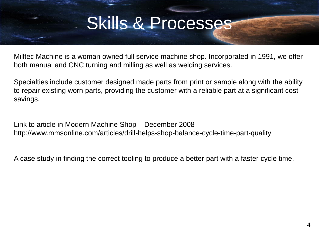### Skills & Processes

Milltec Machine is a woman owned full service machine shop. Incorporated in 1991, we offer both manual and CNC turning and milling as well as welding services.

Specialties include customer designed made parts from print or sample along with the ability to repair existing worn parts, providing the customer with a reliable part at a significant cost savings.

Link to article in Modern Machine Shop – December 2008 http://www.mmsonline.com/articles/drill-helps-shop-balance-cycle-time-part-quality

A case study in finding the correct tooling to produce a better part with a faster cycle time.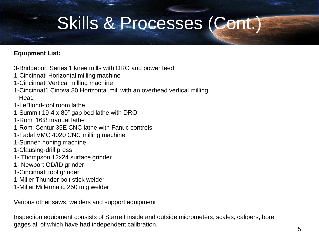### Skills & Processes (Cont.)

#### **Equipment List:**

- 3-Bridgeport Series 1 knee mills with DRO and power feed
- 1-Cincinnati Horizontal milling machine
- 1-Cincinnati Vertical milling machine
- 1-Cincinnat1 Cinova 80 Horizontal mill with an overhead vertical milling **Head**
- 1-LeBlond-tool room lathe
- 1-Summit 19-4 x 80" gap bed lathe with DRO
- 1-Romi 16:8 manual lathe
- 1-Romi Centur 35E CNC lathe with Fanuc controls
- 1-Fadal VMC 4020 CNC milling machine
- 1-Sunnen honing machine
- 1-Clausing-drill press
- 1- Thompson 12x24 surface grinder
- 1- Newport OD/ID grinder
- 1-Cincinnati tool grinder
- 1-Miller Thunder bolt stick welder
- 1-Miller Millermatic 250 mig welder

Various other saws, welders and support equipment

Inspection equipment consists of Starrett inside and outside micrometers, scales, calipers, bore gages all of which have had independent calibration.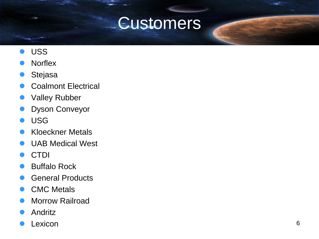#### Customers

- USS
- **Norflex**
- Stejasa
- Coalmont Electrical
- Valley Rubber
- Dyson Conveyor
- USG
- Kloeckner Metals
- UAB Medical West
- CTDI
- Buffalo Rock
- General Products
- CMC Metals
- Morrow Railroad
- Andritz
- Lexicon